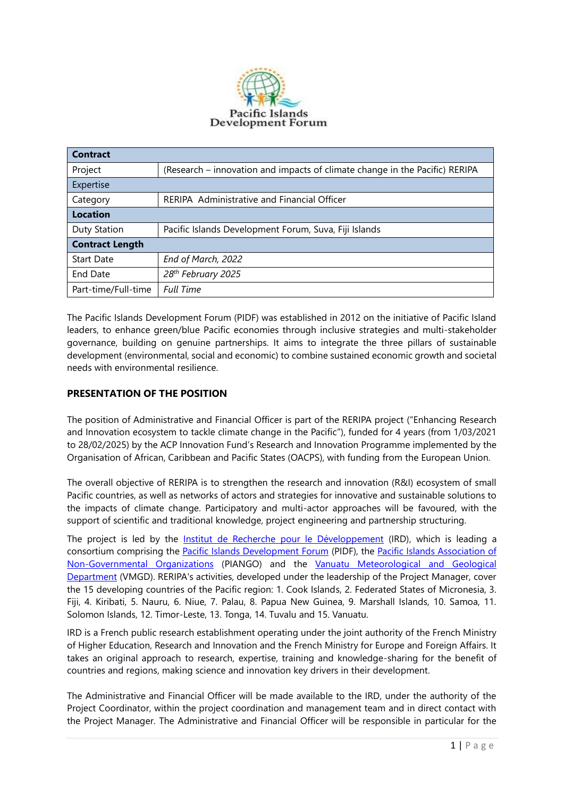

| Contract               |                                                                             |
|------------------------|-----------------------------------------------------------------------------|
| Project                | (Research – innovation and impacts of climate change in the Pacific) RERIPA |
| Expertise              |                                                                             |
| Category               | RERIPA Administrative and Financial Officer                                 |
| <b>Location</b>        |                                                                             |
| Duty Station           | Pacific Islands Development Forum, Suva, Fiji Islands                       |
| <b>Contract Length</b> |                                                                             |
| <b>Start Date</b>      | End of March, 2022                                                          |
| End Date               | 28 <sup>th</sup> February 2025                                              |
| Part-time/Full-time    | <b>Full Time</b>                                                            |

The Pacific Islands Development Forum (PIDF) was established in 2012 on the initiative of Pacific Island leaders, to enhance green/blue Pacific economies through inclusive strategies and multi-stakeholder governance, building on genuine partnerships. It aims to integrate the three pillars of sustainable development (environmental, social and economic) to combine sustained economic growth and societal needs with environmental resilience.

# **PRESENTATION OF THE POSITION**

The position of Administrative and Financial Officer is part of the RERIPA project ("Enhancing Research and Innovation ecosystem to tackle climate change in the Pacific"), funded for 4 years (from 1/03/2021 to 28/02/2025) by the ACP Innovation Fund's Research and Innovation Programme implemented by the Organisation of African, Caribbean and Pacific States (OACPS), with funding from the European Union.

The overall objective of RERIPA is to strengthen the research and innovation (R&I) ecosystem of small Pacific countries, as well as networks of actors and strategies for innovative and sustainable solutions to the impacts of climate change. Participatory and multi-actor approaches will be favoured, with the support of scientific and traditional knowledge, project engineering and partnership structuring.

The project is led by the [Institut de Recherche pour le Développement](https://en.ird.fr/node/8) (IRD), which is leading a consortium comprising the [Pacific Islands Development Forum](http://www.pidf.int/) (PIDF), the Pacific Islands Association of [Non-Governmental Organizations](http://www.piango.org/) (PIANGO) and the [Vanuatu Meteorological and Geological](http://www.vmgd.gov.vu/vmgd/index.php)  [Department](http://www.vmgd.gov.vu/vmgd/index.php) (VMGD). RERIPA's activities, developed under the leadership of the Project Manager, cover the 15 developing countries of the Pacific region: 1. Cook Islands, 2. Federated States of Micronesia, 3. Fiji, 4. Kiribati, 5. Nauru, 6. Niue, 7. Palau, 8. Papua New Guinea, 9. Marshall Islands, 10. Samoa, 11. Solomon Islands, 12. Timor-Leste, 13. Tonga, 14. Tuvalu and 15. Vanuatu.

IRD is a French public research establishment operating under the joint authority of the French Ministry of Higher Education, Research and Innovation and the French Ministry for Europe and Foreign Affairs. It takes an original approach to research, expertise, training and knowledge-sharing for the benefit of countries and regions, making science and innovation key drivers in their development.

The Administrative and Financial Officer will be made available to the IRD, under the authority of the Project Coordinator, within the project coordination and management team and in direct contact with the Project Manager. The Administrative and Financial Officer will be responsible in particular for the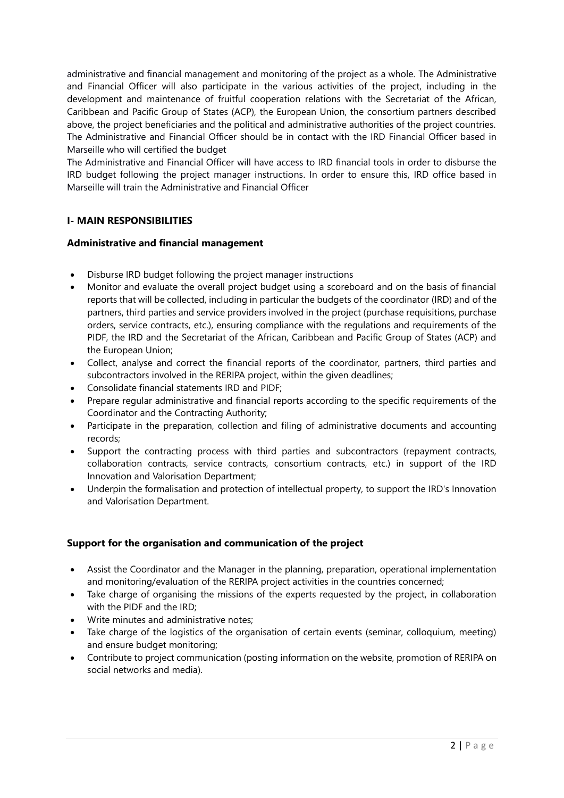administrative and financial management and monitoring of the project as a whole. The Administrative and Financial Officer will also participate in the various activities of the project, including in the development and maintenance of fruitful cooperation relations with the Secretariat of the African, Caribbean and Pacific Group of States (ACP), the European Union, the consortium partners described above, the project beneficiaries and the political and administrative authorities of the project countries. The Administrative and Financial Officer should be in contact with the IRD Financial Officer based in Marseille who will certified the budget

The Administrative and Financial Officer will have access to IRD financial tools in order to disburse the IRD budget following the project manager instructions. In order to ensure this, IRD office based in Marseille will train the Administrative and Financial Officer

## **I- MAIN RESPONSIBILITIES**

## **Administrative and financial management**

- Disburse IRD budget following the project manager instructions
- Monitor and evaluate the overall project budget using a scoreboard and on the basis of financial reports that will be collected, including in particular the budgets of the coordinator (IRD) and of the partners, third parties and service providers involved in the project (purchase requisitions, purchase orders, service contracts, etc.), ensuring compliance with the regulations and requirements of the PIDF, the IRD and the Secretariat of the African, Caribbean and Pacific Group of States (ACP) and the European Union;
- Collect, analyse and correct the financial reports of the coordinator, partners, third parties and subcontractors involved in the RERIPA project, within the given deadlines;
- Consolidate financial statements IRD and PIDF;
- Prepare regular administrative and financial reports according to the specific requirements of the Coordinator and the Contracting Authority;
- Participate in the preparation, collection and filing of administrative documents and accounting records;
- Support the contracting process with third parties and subcontractors (repayment contracts, collaboration contracts, service contracts, consortium contracts, etc.) in support of the IRD Innovation and Valorisation Department;
- Underpin the formalisation and protection of intellectual property, to support the IRD's Innovation and Valorisation Department.

## **Support for the organisation and communication of the project**

- Assist the Coordinator and the Manager in the planning, preparation, operational implementation and monitoring/evaluation of the RERIPA project activities in the countries concerned;
- Take charge of organising the missions of the experts requested by the project, in collaboration with the PIDF and the IRD;
- Write minutes and administrative notes;
- Take charge of the logistics of the organisation of certain events (seminar, colloquium, meeting) and ensure budget monitoring;
- Contribute to project communication (posting information on the website, promotion of RERIPA on social networks and media).